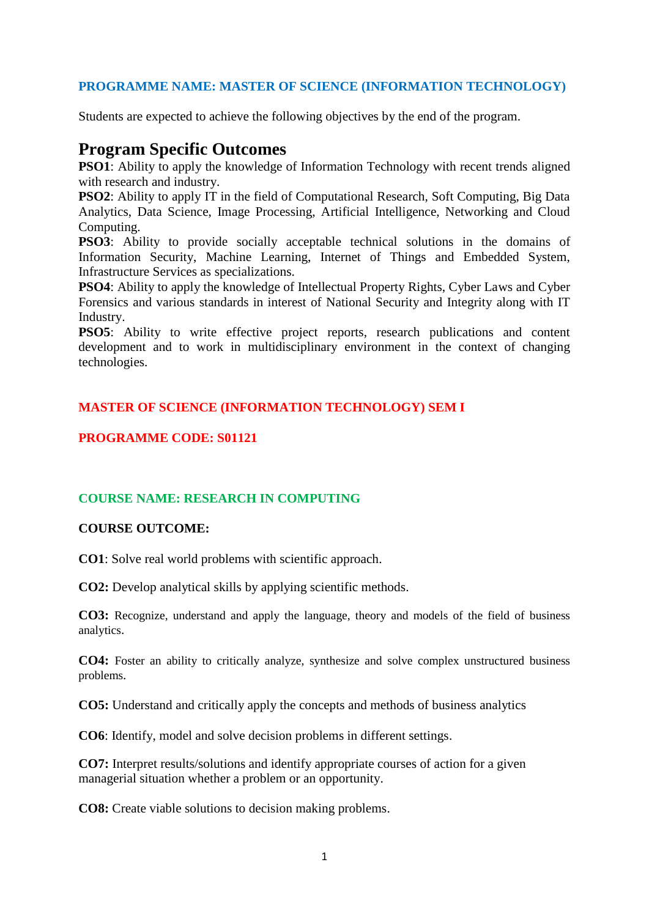# **PROGRAMME NAME: MASTER OF SCIENCE (INFORMATION TECHNOLOGY)**

Students are expected to achieve the following objectives by the end of the program.

# **Program Specific Outcomes**

**PSO1**: Ability to apply the knowledge of Information Technology with recent trends aligned with research and industry.

**PSO2**: Ability to apply IT in the field of Computational Research, Soft Computing, Big Data Analytics, Data Science, Image Processing, Artificial Intelligence, Networking and Cloud Computing.

**PSO3**: Ability to provide socially acceptable technical solutions in the domains of Information Security, Machine Learning, Internet of Things and Embedded System, Infrastructure Services as specializations.

**PSO4**: Ability to apply the knowledge of Intellectual Property Rights, Cyber Laws and Cyber Forensics and various standards in interest of National Security and Integrity along with IT Industry.

**PSO5**: Ability to write effective project reports, research publications and content development and to work in multidisciplinary environment in the context of changing technologies.

# **MASTER OF SCIENCE (INFORMATION TECHNOLOGY) SEM I**

# **PROGRAMME CODE: S01121**

# **COURSE NAME: RESEARCH IN COMPUTING**

### **COURSE OUTCOME:**

**CO1**: Solve real world problems with scientific approach.

**CO2:** Develop analytical skills by applying scientific methods.

**CO3:** Recognize, understand and apply the language, theory and models of the field of business analytics.

**CO4:** Foster an ability to critically analyze, synthesize and solve complex unstructured business problems.

**CO5:** Understand and critically apply the concepts and methods of business analytics

**CO6**: Identify, model and solve decision problems in different settings.

**CO7:** Interpret results/solutions and identify appropriate courses of action for a given managerial situation whether a problem or an opportunity.

**CO8:** Create viable solutions to decision making problems.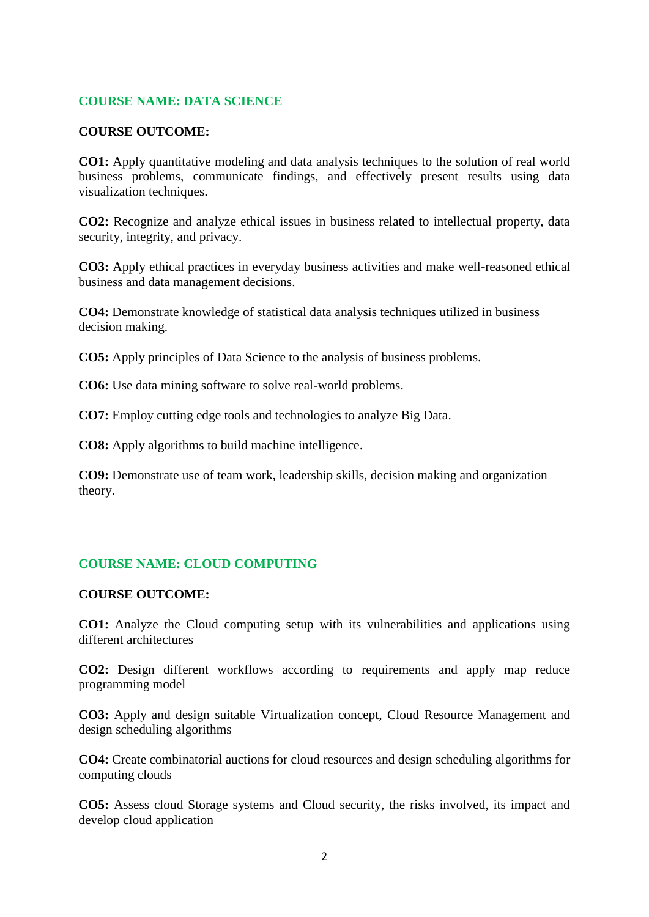## **COURSE NAME: DATA SCIENCE**

### **COURSE OUTCOME:**

**CO1:** Apply quantitative modeling and data analysis techniques to the solution of real world business problems, communicate findings, and effectively present results using data visualization techniques.

**CO2:** Recognize and analyze ethical issues in business related to intellectual property, data security, integrity, and privacy.

**CO3:** Apply ethical practices in everyday business activities and make well-reasoned ethical business and data management decisions.

**CO4:** Demonstrate knowledge of statistical data analysis techniques utilized in business decision making.

**CO5:** Apply principles of Data Science to the analysis of business problems.

**CO6:** Use data mining software to solve real-world problems.

**CO7:** Employ cutting edge tools and technologies to analyze Big Data.

**CO8:** Apply algorithms to build machine intelligence.

**CO9:** Demonstrate use of team work, leadership skills, decision making and organization theory.

### **COURSE NAME: CLOUD COMPUTING**

#### **COURSE OUTCOME:**

**CO1:** Analyze the Cloud computing setup with its vulnerabilities and applications using different architectures

**CO2:** Design different workflows according to requirements and apply map reduce programming model

**CO3:** Apply and design suitable Virtualization concept, Cloud Resource Management and design scheduling algorithms

**CO4:** Create combinatorial auctions for cloud resources and design scheduling algorithms for computing clouds

**CO5:** Assess cloud Storage systems and Cloud security, the risks involved, its impact and develop cloud application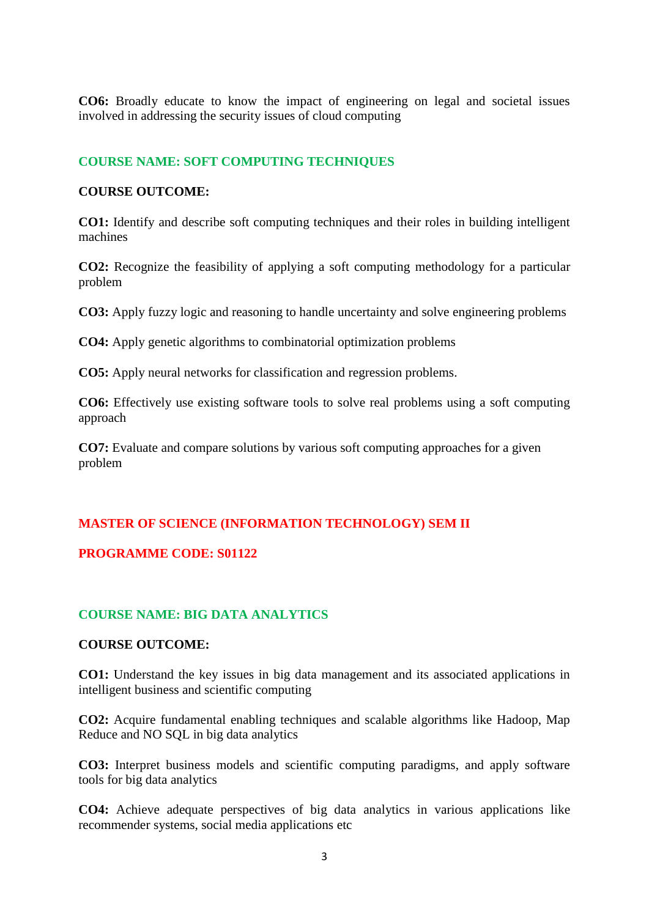**CO6:** Broadly educate to know the impact of engineering on legal and societal issues involved in addressing the security issues of cloud computing

## **COURSE NAME: SOFT COMPUTING TECHNIQUES**

#### **COURSE OUTCOME:**

**CO1:** Identify and describe soft computing techniques and their roles in building intelligent machines

**CO2:** Recognize the feasibility of applying a soft computing methodology for a particular problem

**CO3:** Apply fuzzy logic and reasoning to handle uncertainty and solve engineering problems

**CO4:** Apply genetic algorithms to combinatorial optimization problems

**CO5:** Apply neural networks for classification and regression problems.

**CO6:** Effectively use existing software tools to solve real problems using a soft computing approach

**CO7:** Evaluate and compare solutions by various soft computing approaches for a given problem

### **MASTER OF SCIENCE (INFORMATION TECHNOLOGY) SEM II**

### **PROGRAMME CODE: S01122**

### **COURSE NAME: BIG DATA ANALYTICS**

#### **COURSE OUTCOME:**

**CO1:** Understand the key issues in big data management and its associated applications in intelligent business and scientific computing

**CO2:** Acquire fundamental enabling techniques and scalable algorithms like Hadoop, Map Reduce and NO SQL in big data analytics

**CO3:** Interpret business models and scientific computing paradigms, and apply software tools for big data analytics

**CO4:** Achieve adequate perspectives of big data analytics in various applications like recommender systems, social media applications etc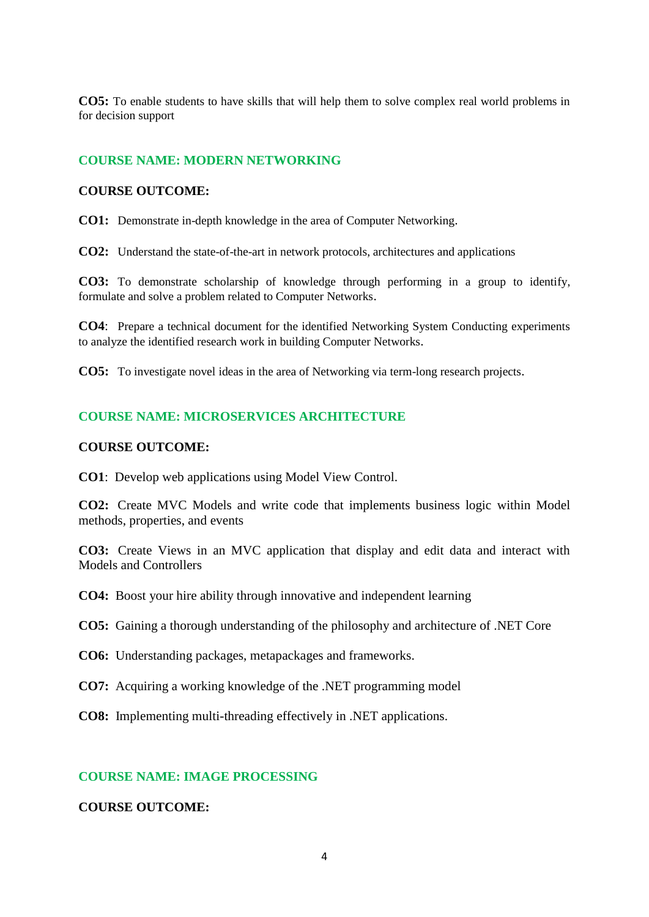**CO5:** To enable students to have skills that will help them to solve complex real world problems in for decision support

### **COURSE NAME: MODERN NETWORKING**

#### **COURSE OUTCOME:**

**CO1:** Demonstrate in-depth knowledge in the area of Computer Networking.

**CO2:** Understand the state-of-the-art in network protocols, architectures and applications

**CO3:** To demonstrate scholarship of knowledge through performing in a group to identify, formulate and solve a problem related to Computer Networks.

**CO4**: Prepare a technical document for the identified Networking System Conducting experiments to analyze the identified research work in building Computer Networks.

**CO5:** To investigate novel ideas in the area of Networking via term-long research projects.

### **COURSE NAME: MICROSERVICES ARCHITECTURE**

#### **COURSE OUTCOME:**

**CO1**: Develop web applications using Model View Control.

**CO2:** Create MVC Models and write code that implements business logic within Model methods, properties, and events

**CO3:** Create Views in an MVC application that display and edit data and interact with Models and Controllers

**CO4:** Boost your hire ability through innovative and independent learning

**CO5:** Gaining a thorough understanding of the philosophy and architecture of .NET Core

**CO6:** Understanding packages, metapackages and frameworks.

**CO7:** Acquiring a working knowledge of the .NET programming model

**CO8:** Implementing multi-threading effectively in .NET applications.

#### **COURSE NAME: IMAGE PROCESSING**

### **COURSE OUTCOME:**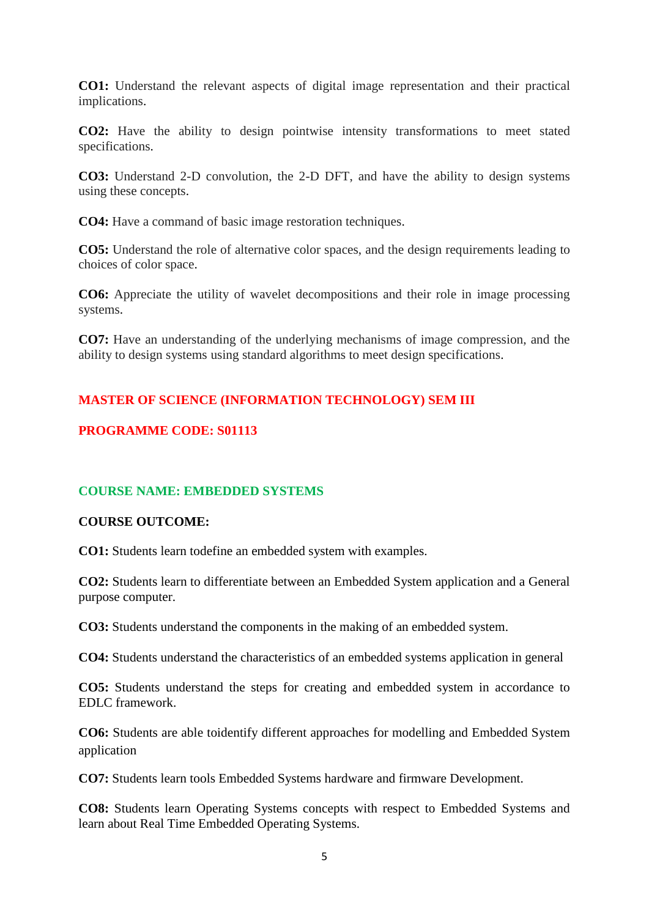**CO1:** Understand the relevant aspects of digital image representation and their practical implications.

**CO2:** Have the ability to design pointwise intensity transformations to meet stated specifications.

**CO3:** Understand 2-D convolution, the 2-D DFT, and have the ability to design systems using these concepts.

**CO4:** Have a command of basic image restoration techniques.

**CO5:** Understand the role of alternative color spaces, and the design requirements leading to choices of color space.

**CO6:** Appreciate the utility of wavelet decompositions and their role in image processing systems.

**CO7:** Have an understanding of the underlying mechanisms of image compression, and the ability to design systems using standard algorithms to meet design specifications.

# **MASTER OF SCIENCE (INFORMATION TECHNOLOGY) SEM III**

# **PROGRAMME CODE: S01113**

### **COURSE NAME: EMBEDDED SYSTEMS**

### **COURSE OUTCOME:**

**CO1:** Students learn todefine an embedded system with examples.

**CO2:** Students learn to differentiate between an Embedded System application and a General purpose computer.

**CO3:** Students understand the components in the making of an embedded system.

**CO4:** Students understand the characteristics of an embedded systems application in general

**CO5:** Students understand the steps for creating and embedded system in accordance to EDLC framework.

**CO6:** Students are able toidentify different approaches for modelling and Embedded System application

**CO7:** Students learn tools Embedded Systems hardware and firmware Development.

**CO8:** Students learn Operating Systems concepts with respect to Embedded Systems and learn about Real Time Embedded Operating Systems.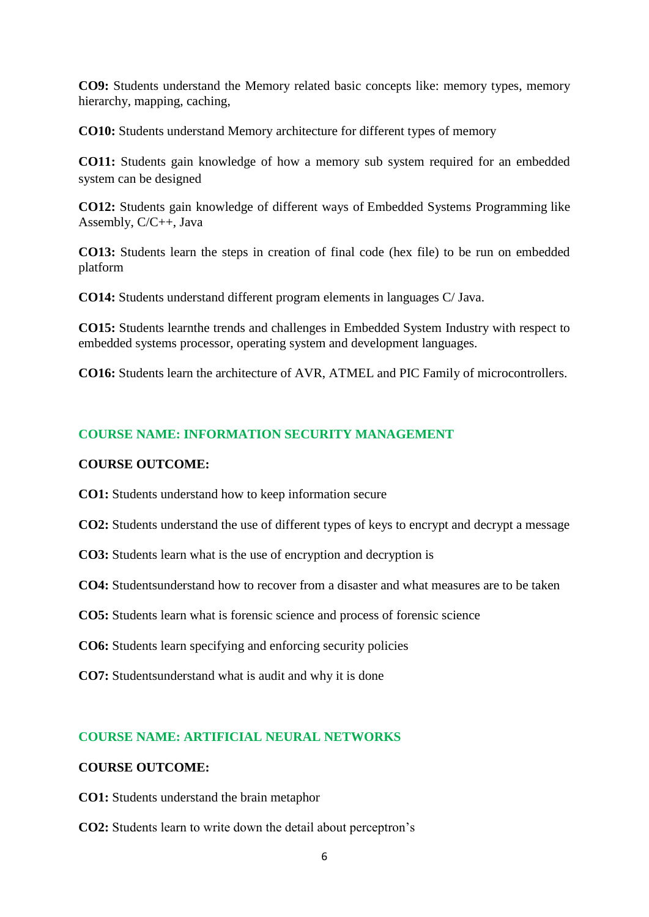**CO9:** Students understand the Memory related basic concepts like: memory types, memory hierarchy, mapping, caching,

**CO10:** Students understand Memory architecture for different types of memory

**CO11:** Students gain knowledge of how a memory sub system required for an embedded system can be designed

**CO12:** Students gain knowledge of different ways of Embedded Systems Programming like Assembly, C/C++, Java

**CO13:** Students learn the steps in creation of final code (hex file) to be run on embedded platform

**CO14:** Students understand different program elements in languages C/ Java.

**CO15:** Students learnthe trends and challenges in Embedded System Industry with respect to embedded systems processor, operating system and development languages.

**CO16:** Students learn the architecture of AVR, ATMEL and PIC Family of microcontrollers.

# **COURSE NAME: INFORMATION SECURITY MANAGEMENT**

## **COURSE OUTCOME:**

**CO1:** Students understand how to keep information secure

- **CO2:** Students understand the use of different types of keys to encrypt and decrypt a message
- **CO3:** Students learn what is the use of encryption and decryption is
- **CO4:** Studentsunderstand how to recover from a disaster and what measures are to be taken
- **CO5:** Students learn what is forensic science and process of forensic science
- **CO6:** Students learn specifying and enforcing security policies
- **CO7:** Studentsunderstand what is audit and why it is done

# **COURSE NAME: ARTIFICIAL NEURAL NETWORKS**

### **COURSE OUTCOME:**

- **CO1:** Students understand the brain metaphor
- **CO2:** Students learn to write down the detail about perceptron's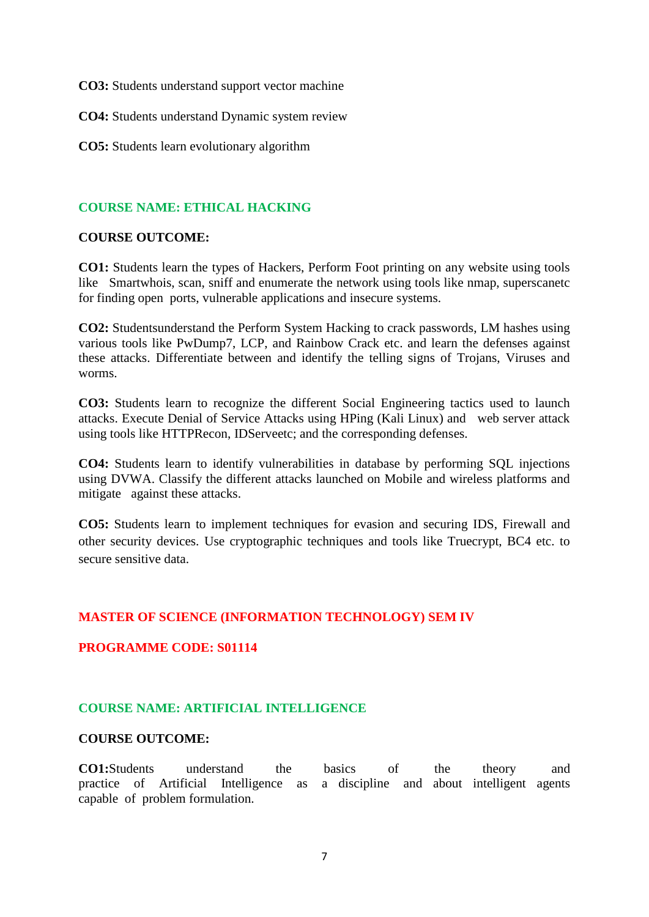**CO3:** Students understand support vector machine

**CO4:** Students understand Dynamic system review

**CO5:** Students learn evolutionary algorithm

### **COURSE NAME: ETHICAL HACKING**

### **COURSE OUTCOME:**

**CO1:** Students learn the types of Hackers, Perform Foot printing on any website using tools like Smartwhois, scan, sniff and enumerate the network using tools like nmap, superscanetc for finding open ports, vulnerable applications and insecure systems.

**CO2:** Studentsunderstand the Perform System Hacking to crack passwords, LM hashes using various tools like PwDump7, LCP, and Rainbow Crack etc. and learn the defenses against these attacks. Differentiate between and identify the telling signs of Trojans, Viruses and worms.

**CO3:** Students learn to recognize the different Social Engineering tactics used to launch attacks. Execute Denial of Service Attacks using HPing (Kali Linux) and web server attack using tools like HTTPRecon, IDServeetc; and the corresponding defenses.

**CO4:** Students learn to identify vulnerabilities in database by performing SQL injections using DVWA. Classify the different attacks launched on Mobile and wireless platforms and mitigate against these attacks.

**CO5:** Students learn to implement techniques for evasion and securing IDS, Firewall and other security devices. Use cryptographic techniques and tools like Truecrypt, BC4 etc. to secure sensitive data.

# **MASTER OF SCIENCE (INFORMATION TECHNOLOGY) SEM IV**

### **PROGRAMME CODE: S01114**

### **COURSE NAME: ARTIFICIAL INTELLIGENCE**

#### **COURSE OUTCOME:**

**CO1:**Students understand the basics of the theory and practice of Artificial Intelligence as a discipline and about intelligent agents capable of problem formulation.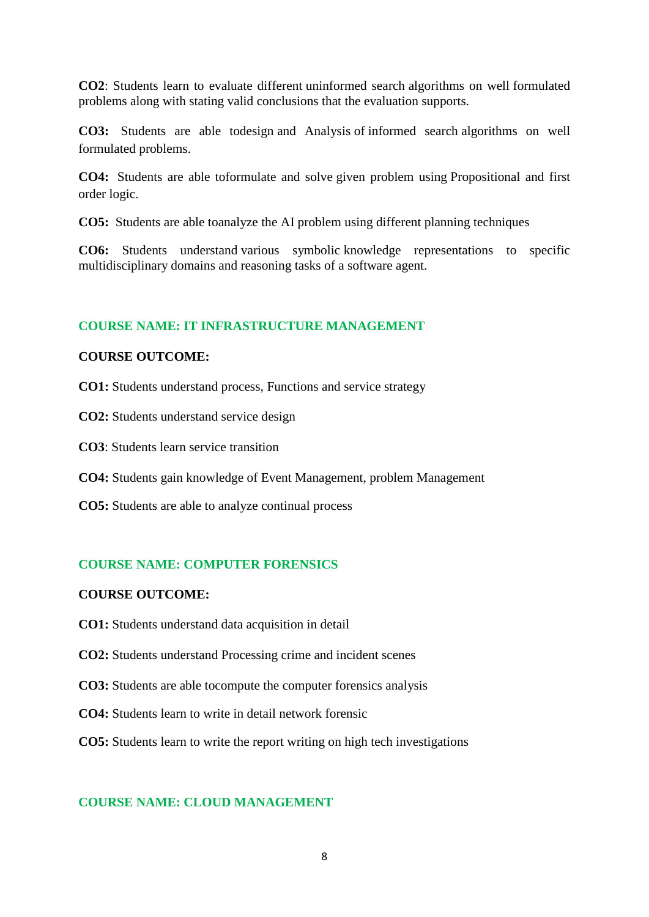**CO2**: Students learn to evaluate different uninformed search algorithms on well formulated problems along with stating valid conclusions that the evaluation supports.

**CO3:** Students are able todesign and Analysis of informed search algorithms on well formulated problems.

**CO4:** Students are able toformulate and solve given problem using Propositional and first order logic.

**CO5:** Students are able toanalyze the AI problem using different planning techniques

**CO6:** Students understand various symbolic knowledge representations to specific multidisciplinary domains and reasoning tasks of a software agent.

### **COURSE NAME: IT INFRASTRUCTURE MANAGEMENT**

#### **COURSE OUTCOME:**

**CO1:** Students understand process, Functions and service strategy

**CO2:** Students understand service design

**CO3**: Students learn service transition

**CO4:** Students gain knowledge of Event Management, problem Management

**CO5:** Students are able to analyze continual process

### **COURSE NAME: COMPUTER FORENSICS**

### **COURSE OUTCOME:**

- **CO1:** Students understand data acquisition in detail
- **CO2:** Students understand Processing crime and incident scenes
- **CO3:** Students are able tocompute the computer forensics analysis
- **CO4:** Students learn to write in detail network forensic
- **CO5:** Students learn to write the report writing on high tech investigations

### **COURSE NAME: CLOUD MANAGEMENT**